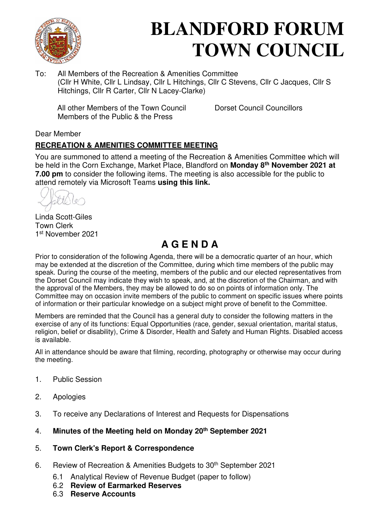

# **BLANDFORD FORUM TOWN COUNCIL**

To: All Members of the Recreation & Amenities Committee (Cllr H White, Cllr L Lindsay, Cllr L Hitchings, Cllr C Stevens, Cllr C Jacques, Cllr S Hitchings, Cllr R Carter, Cllr N Lacey-Clarke)

All other Members of the Town Council Dorset Council Councillors Members of the Public & the Press

#### Dear Member

#### **RECREATION & AMENITIES COMMITTEE MEETING**

You are summoned to attend a meeting of the Recreation & Amenities Committee which will be held in the Corn Exchange, Market Place, Blandford on **Monday 8th November 2021 at 7.00 pm** to consider the following items. The meeting is also accessible for the public to attend remotely via Microsoft Teams **[using this link.](https://teams.microsoft.com/l/meetup-join/19%3a2cb1b1f9de074efdad40308940ab9ba0%40thread.tacv2/1627296017572?context=%7b%22Tid%22%3a%223cd8f2fb-4c45-4162-86f1-fb87b5f6a138%22%2c%22Oid%22%3a%2265e5950c-ab1c-41cc-9090-4a755c733f54%22%7d)**

Linda Scott-Giles Town Clerk 1 st November 2021

# **A G E N D A**

Prior to consideration of the following Agenda, there will be a democratic quarter of an hour, which may be extended at the discretion of the Committee, during which time members of the public may speak. During the course of the meeting, members of the public and our elected representatives from the Dorset Council may indicate they wish to speak, and, at the discretion of the Chairman, and with the approval of the Members, they may be allowed to do so on points of information only. The Committee may on occasion invite members of the public to comment on specific issues where points of information or their particular knowledge on a subject might prove of benefit to the Committee.

Members are reminded that the Council has a general duty to consider the following matters in the exercise of any of its functions: Equal Opportunities (race, gender, sexual orientation, marital status, religion, belief or disability), Crime & Disorder, Health and Safety and Human Rights. Disabled access is available.

All in attendance should be aware that filming, recording, photography or otherwise may occur during the meeting.

- 1. Public Session
- 2. Apologies
- 3. To receive any Declarations of Interest and Requests for Dispensations
- 4. **[Minutes of the Meeting held on Monday 20](https://blandfordforum-tc.gov.uk/wp-content/uploads/2021/09/200921.pdf)th September 2021**
- 5. **[Town Clerk's Report & Correspondence](#page-2-0)**
- 6. Review of Recreation & Amenities Budgets to 30<sup>th</sup> September 2021
	- 6.1 Analytical Review of Revenue Budget (paper to follow)
	- 6.2 **[Review of Earmarked Reserves](#page-3-0)**
	- 6.3 **[Reserve Accounts](#page-8-0)**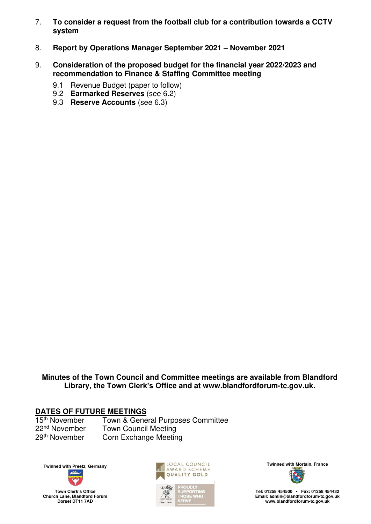- 7. **[To consider a request from the football club for a contribution towards a CCTV](#page-9-0)  [system](#page-9-0)**
- 8. **[Report by Operations Manager September 2021](#page-9-0) – November 2021**
- 9. **[Consideration of the proposed budget for the financial year 2022/2023 and](#page-12-0)  [recommendation to Finance & Staffing Committee meeting](#page-12-0)**
	- 9.1 Revenue Budget (paper to follow)
	- 9.2 **[Earmarked Reserves](#page-3-0)** (see 6.2)
	- 9.3 **[Reserve Accounts](#page-8-0)** (see 6.3)

**Minutes of the Town Council and Committee meetings are available from Blandford Library, the Town Clerk's Office and at [www.blandfordforum-tc.gov.uk.](http://www.blandfordforum-tc.gov.uk/)** 

# **DATES OF FUTURE MEETINGS**<br>15<sup>th</sup> November Town & Gene

Town & General Purposes Committee 22<sup>nd</sup> November Town Council Meeting 29<sup>th</sup> November Corn Exchange Meeting











**Tel: 01258 454500 • Fax: 01258 454432 Email: admin@blandfordforum-tc.gov.uk [www.blandfordforum-tc.gov.uk](http://www.blandfordforum-tc.gov.uk/)**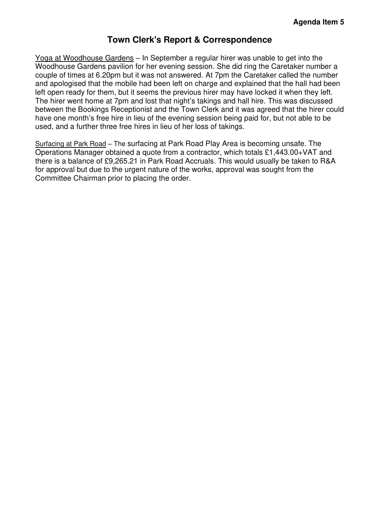#### **Town Clerk's Report & Correspondence**

<span id="page-2-0"></span>Yoga at Woodhouse Gardens – In September a regular hirer was unable to get into the Woodhouse Gardens pavilion for her evening session. She did ring the Caretaker number a couple of times at 6.20pm but it was not answered. At 7pm the Caretaker called the number and apologised that the mobile had been left on charge and explained that the hall had been left open ready for them, but it seems the previous hirer may have locked it when they left. The hirer went home at 7pm and lost that night's takings and hall hire. This was discussed between the Bookings Receptionist and the Town Clerk and it was agreed that the hirer could have one month's free hire in lieu of the evening session being paid for, but not able to be used, and a further three free hires in lieu of her loss of takings.

Surfacing at Park Road – The surfacing at Park Road Play Area is becoming unsafe. The Operations Manager obtained a quote from a contractor, which totals £1,443.00+VAT and there is a balance of £9,265.21 in Park Road Accruals. This would usually be taken to R&A for approval but due to the urgent nature of the works, approval was sought from the Committee Chairman prior to placing the order.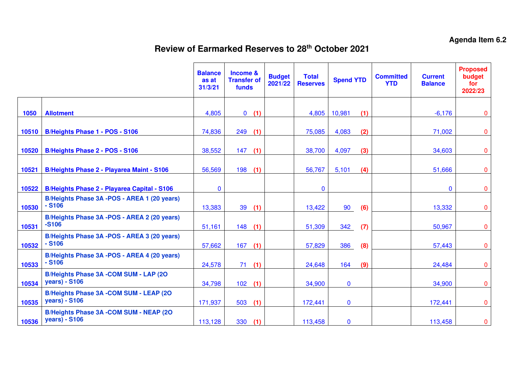## **Review of Earmarked Reserves to 28th October 2021**

<span id="page-3-0"></span>

|       |                                                                         | <b>Balance</b><br>as at<br>31/3/21 | Income &<br><b>Transfer of</b><br>funds |     | <b>Budget</b><br>2021/22 | <b>Total</b><br><b>Reserves</b> | <b>Spend YTD</b> |     | <b>Committed</b><br><b>YTD</b> | <b>Current</b><br><b>Balance</b> | <b>Proposed</b><br>budget<br>for<br>2022/23 |
|-------|-------------------------------------------------------------------------|------------------------------------|-----------------------------------------|-----|--------------------------|---------------------------------|------------------|-----|--------------------------------|----------------------------------|---------------------------------------------|
| 1050  | <b>Allotment</b>                                                        | 4,805                              | $\mathbf{0}$                            | (1) |                          | 4,805                           | 10,981           | (1) |                                | $-6,176$                         | $\mathbf{0}$                                |
| 10510 | B/Heights Phase 1 - POS - S106                                          | 74,836                             | 249                                     | (1) |                          | 75,085                          | 4,083            | (2) |                                | 71,002                           | $\overline{0}$                              |
| 10520 | B/Heights Phase 2 - POS - S106                                          | 38,552                             | 147                                     | (1) |                          | 38,700                          | 4,097            | (3) |                                | 34,603                           | $\overline{0}$                              |
| 10521 | <b>B/Heights Phase 2 - Playarea Maint - S106</b>                        | 56,569                             | 198                                     | (1) |                          | 56,767                          | 5,101            | (4) |                                | 51,666                           | $\overline{0}$                              |
| 10522 | <b>B/Heights Phase 2 - Playarea Capital - S106</b>                      | $\mathbf{0}$                       |                                         |     |                          | $\mathbf 0$                     |                  |     |                                | $\mathbf 0$                      | $\overline{0}$                              |
| 10530 | B/Heights Phase 3A -POS - AREA 1 (20 years)<br>$-$ S106                 | 13,383                             | 39                                      | (1) |                          | 13,422                          | 90               | (6) |                                | 13,332                           | $\overline{0}$                              |
| 10531 | B/Heights Phase 3A -POS - AREA 2 (20 years)<br>$-5106$                  | 51,161                             | 148                                     | (1) |                          | 51,309                          | 342              | (7) |                                | 50,967                           | $\overline{0}$                              |
| 10532 | B/Heights Phase 3A - POS - AREA 3 (20 years)<br>$- S106$                | 57,662                             | 167                                     | (1) |                          | 57,829                          | 386              | (8) |                                | 57,443                           | $\mathbf 0$                                 |
| 10533 | B/Heights Phase 3A - POS - AREA 4 (20 years)<br>$- S106$                | 24,578                             | 71                                      | (1) |                          | 24,648                          | 164              | (9) |                                | 24,484                           | $\mathbf{0}$                                |
| 10534 | B/Heights Phase 3A -COM SUM - LAP (2O<br><b>years</b> ) - S106          | 34,798                             | 102                                     | (1) |                          | 34,900                          | $\mathbf{0}$     |     |                                | 34,900                           | $\overline{0}$                              |
| 10535 | B/Heights Phase 3A -COM SUM - LEAP (2O<br>years) - S106                 | 171,937                            | 503                                     | (1) |                          | 172,441                         | $\bf{0}$         |     |                                | 172,441                          | $\mathbf 0$                                 |
| 10536 | <b>B/Heights Phase 3A -COM SUM - NEAP (20)</b><br><b>years</b> ) - S106 | 113,128                            | 330                                     | (1) |                          | 113,458                         | $\bf{0}$         |     |                                | 113,458                          | $\bf{0}$                                    |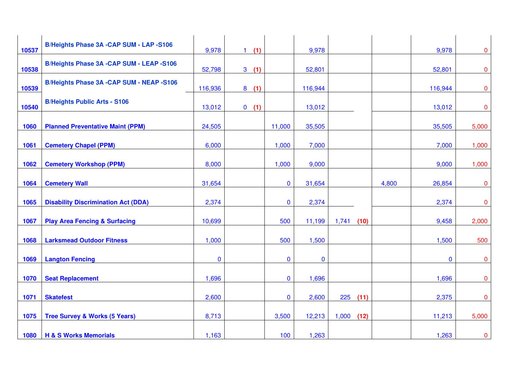| 10537 | <b>B/Heights Phase 3A -CAP SUM - LAP -S106</b>  | 9,978        | (1)<br>1 <sup>1</sup> |              | 9,978       |               |       | 9,978       | $\mathbf{0}$   |
|-------|-------------------------------------------------|--------------|-----------------------|--------------|-------------|---------------|-------|-------------|----------------|
| 10538 | <b>B/Heights Phase 3A -CAP SUM - LEAP -S106</b> | 52,798       | 3(1)                  |              | 52,801      |               |       | 52,801      | $\overline{0}$ |
| 10539 | <b>B/Heights Phase 3A -CAP SUM - NEAP -S106</b> | 116,936      | 8<br>(1)              |              | 116,944     |               |       | 116,944     | $\overline{0}$ |
| 10540 | <b>B/Heights Public Arts - S106</b>             | 13,012       | (1)<br>$\mathbf{0}$   |              | 13,012      |               |       | 13,012      | $\overline{0}$ |
| 1060  | <b>Planned Preventative Maint (PPM)</b>         | 24,505       |                       | 11,000       | 35,505      |               |       | 35,505      | 5,000          |
| 1061  | <b>Cemetery Chapel (PPM)</b>                    | 6,000        |                       | 1,000        | 7,000       |               |       | 7,000       | 1,000          |
| 1062  | <b>Cemetery Workshop (PPM)</b>                  | 8,000        |                       | 1,000        | 9,000       |               |       | 9,000       | 1,000          |
| 1064  | <b>Cemetery Wall</b>                            | 31,654       |                       | $\bf{0}$     | 31,654      |               | 4,800 | 26,854      | $\overline{0}$ |
| 1065  | <b>Disability Discrimination Act (DDA)</b>      | 2,374        |                       | $\mathbf{0}$ | 2,374       |               |       | 2,374       | $\mathbf{0}$   |
| 1067  | <b>Play Area Fencing &amp; Surfacing</b>        | 10,699       |                       | 500          | 11,199      | 1,741<br>(10) |       | 9,458       | 2,000          |
| 1068  | <b>Larksmead Outdoor Fitness</b>                | 1,000        |                       | 500          | 1,500       |               |       | 1,500       | 500            |
| 1069  | <b>Langton Fencing</b>                          | $\mathbf{0}$ |                       | $\mathbf{0}$ | $\mathbf 0$ |               |       | $\mathbf 0$ | $\mathbf{0}$   |
| 1070  | <b>Seat Replacement</b>                         | 1,696        |                       | $\mathbf 0$  | 1,696       |               |       | 1,696       | $\mathbf{0}$   |
| 1071  | <b>Skatefest</b>                                | 2,600        |                       | $\mathbf{0}$ | 2,600       | 225<br>(11)   |       | 2,375       | $\mathbf{0}$   |
| 1075  | <b>Tree Survey &amp; Works (5 Years)</b>        | 8,713        |                       | 3,500        | 12,213      | 1,000<br>(12) |       | 11,213      | 5,000          |
| 1080  | <b>H &amp; S Works Memorials</b>                | 1,163        |                       | 100          | 1,263       |               |       | 1,263       | $\mathbf 0$    |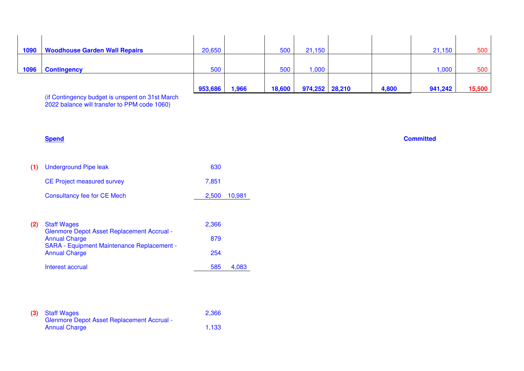| 1090 | <b>Woodhouse Garden Wall Repairs</b> | 20,650  |       | 500    | 21,150         |       | 21,150  | 500    |
|------|--------------------------------------|---------|-------|--------|----------------|-------|---------|--------|
|      |                                      |         |       |        |                |       |         |        |
| 1096 | <b>Contingency</b>                   | 500     |       | 500    | 000,           |       | ,000    | 500    |
|      |                                      |         |       |        |                |       |         |        |
|      |                                      | 953,686 | 1,966 | 18,600 | 974,252 28,210 | 4,800 | 941,242 | 15,500 |

(if Contingency budget is unspent on 31st March 2022 balance will transfer to PPM code 1060)

| (1) | <b>Underground Pipe leak</b>                                              | 630   |        |
|-----|---------------------------------------------------------------------------|-------|--------|
|     | <b>CE Project measured survey</b>                                         | 7,851 |        |
|     | <b>Consultancy fee for CE Mech</b>                                        | 2,500 | 10,981 |
|     |                                                                           |       |        |
| (2) | <b>Staff Wages</b>                                                        | 2,366 |        |
|     | <b>Glenmore Depot Asset Replacement Accrual -</b><br><b>Annual Charge</b> | 879   |        |
|     | <b>SARA - Equipment Maintenance Replacement -</b><br><b>Annual Charge</b> | 254   |        |
|     | Interest accrual                                                          | 585   | 4,083  |
|     |                                                                           |       |        |

| (3) Staff Wages                                   | 2,366 |
|---------------------------------------------------|-------|
| <b>Glenmore Depot Asset Replacement Accrual -</b> |       |
| <b>Annual Charge</b>                              | 1.133 |

#### **Spend Committed**  $\blacksquare$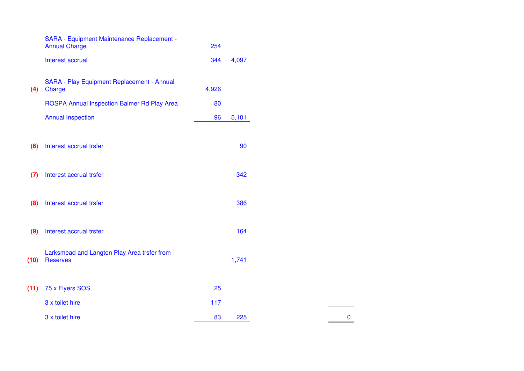|      | SARA - Equipment Maintenance Replacement -<br><b>Annual Charge</b> | 254   |       |
|------|--------------------------------------------------------------------|-------|-------|
|      | Interest accrual                                                   | 344   | 4,097 |
| (4)  | SARA - Play Equipment Replacement - Annual<br>Charge               | 4,926 |       |
|      | ROSPA Annual Inspection Balmer Rd Play Area                        | 80    |       |
|      | <b>Annual Inspection</b>                                           | 96    | 5,101 |
| (6)  | Interest accrual trsfer                                            |       | 90    |
| (7)  | Interest accrual trsfer                                            |       | 342   |
| (8)  | Interest accrual trsfer                                            |       | 386   |
| (9)  | Interest accrual trsfer                                            |       | 164   |
| (10) | Larksmead and Langton Play Area trsfer from<br><b>Reserves</b>     |       | 1,741 |
| (11) | 75 x Flyers SOS                                                    | 25    |       |
|      | 3 x toilet hire                                                    | 117   |       |
|      | 3 x toilet hire                                                    | 83    | 225   |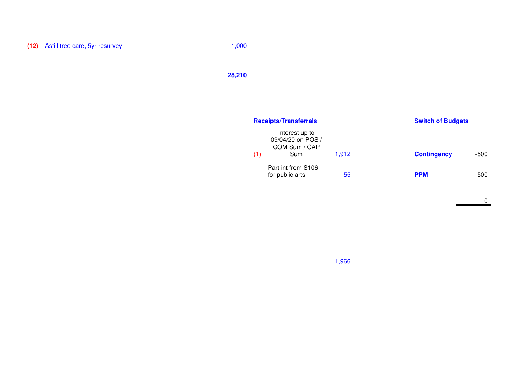**(12)** Astill tree care, 5yr resurvey 1,000

#### **28,210**

|     | <b>Receipts/Transferrals</b>                                |       | <b>Switch of Budgets</b> |      |
|-----|-------------------------------------------------------------|-------|--------------------------|------|
| (1) | Interest up to<br>09/04/20 on POS /<br>COM Sum / CAP<br>Sum | 1,912 | <b>Contingency</b>       | -500 |
|     | Part int from S106<br>for public arts                       | 55    | <b>PPM</b>               | 500  |

1,966

 $\begin{array}{c}\n\hline\n0\n\end{array}$ 

 $\overline{\phantom{a}}$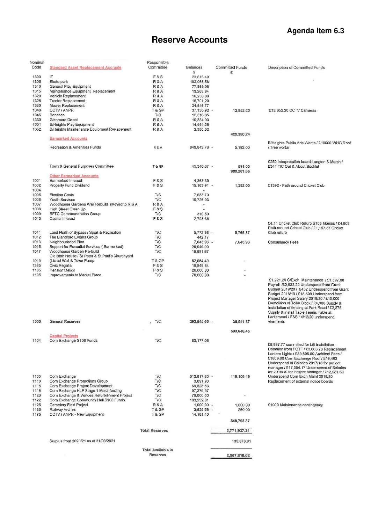#### **Agenda Item 6.3**

### **Reserve Accounts**

<span id="page-8-0"></span>

| Nominal |                                                  | Responsible               |                          |                        |                                                |
|---------|--------------------------------------------------|---------------------------|--------------------------|------------------------|------------------------------------------------|
| Code    | <b>Standard Asset Replacement Accruals</b>       | Committee                 | Balances                 | <b>Committed Funds</b> | Description of Committed Funds                 |
|         |                                                  |                           | £                        | £                      |                                                |
|         |                                                  |                           |                          |                        |                                                |
| 1300    | IΤ                                               | F & S                     | 23,613.49                |                        |                                                |
| 1305    | Skate park                                       | R&A                       | 183,065.58               |                        |                                                |
| 1310    | General Play Equipment                           | R&A                       | 77,865.06                |                        |                                                |
|         |                                                  |                           |                          |                        |                                                |
| 1315    | Maintenance Equipment Replacement                | R&A                       | 13,268.94                |                        |                                                |
| 1320    | Vehicle Replacement                              | R&A                       | 16,258.00                |                        |                                                |
| 1325    | <b>Tractor Replacement</b>                       | R&A                       | 16,701.20                |                        |                                                |
|         |                                                  |                           |                          |                        |                                                |
| 1330    | Mower Replacement                                | R&A                       | 34,546.77                |                        |                                                |
| 1340    | CCTV / ANPR                                      | T&GP                      | 37,130.92 -              | 12,852.20              | £12,852.20 CCTV Cameras                        |
| 1345    | <b>Benches</b>                                   | T/C                       | 12,516.65                |                        |                                                |
|         |                                                  |                           |                          |                        |                                                |
| 1350    | Glenmore Depot                                   | R&A                       | 10,384.93                |                        |                                                |
| 1351    | <b>B/Heights Play Equipment</b>                  | R&A                       | 14,494.28                |                        |                                                |
| 1352    | B/Heights Maintenance Equipment Replacement      | R&A                       | 2,386.62                 |                        |                                                |
|         |                                                  |                           |                          |                        |                                                |
|         |                                                  |                           |                          | 429,380.24             |                                                |
|         | <b>Earmarked Accounts</b>                        |                           |                          |                        |                                                |
|         |                                                  |                           |                          |                        | B/Heights Public Arts Works / £10000 WHG Roof  |
|         | Recreation & Amenities Funds                     | R&A                       | 949,643.78 -             | 5,192.00               | / Tree works                                   |
|         |                                                  |                           |                          |                        |                                                |
|         |                                                  |                           |                          |                        |                                                |
|         |                                                  |                           |                          |                        |                                                |
|         |                                                  |                           |                          |                        | £250 Interpretation board:Langton & Marsh /    |
|         |                                                  |                           |                          |                        | £341 TIC Out & About Booklet                   |
|         | Town & General Purposes Committee                | T & GP                    | 45,340.87 -              | 591.00                 |                                                |
|         |                                                  |                           |                          | 989,201.65             |                                                |
|         | <b>Other Earmarked Accounts</b>                  |                           |                          |                        |                                                |
| 1001    | Earmarked Interest                               | F&S                       |                          |                        |                                                |
|         |                                                  |                           | 4,363.39                 |                        |                                                |
| 1002    | Property Fund Dividend                           | F&S                       | 15, 163.91 -             | 1,392.00               | £1392 - Path around Cricket Club               |
| 1004    |                                                  |                           |                          |                        |                                                |
| 1005    | <b>Election Costs</b>                            | T/C                       | 7,683.70                 |                        |                                                |
|         |                                                  |                           |                          |                        |                                                |
| 1006    | <b>Youth Services</b>                            | T/C                       | 10,726.03                |                        |                                                |
| 1007    | Woodhouse Gardens Wall Rebuild (Moved to R & A)  | R&A                       | $\overline{\phantom{a}}$ |                        |                                                |
| 1008    | High Street Clean Up                             | F&S                       |                          |                        |                                                |
|         |                                                  |                           |                          |                        |                                                |
| 1009    | <b>BFTC Commemoration Group</b>                  | T/C                       | 310.50                   |                        |                                                |
| 1010    | <b>Capital Interest</b>                          | F&S                       | 2,793.86                 |                        |                                                |
|         |                                                  |                           |                          |                        | £4.11 Cricket Club Refurb S106 Monies / £4,608 |
|         |                                                  |                           |                          |                        |                                                |
|         |                                                  |                           |                          |                        | Path around Cricket Club / £1,157.87 Cricket   |
| 1011    | Land North of Bypass / Sport & Recreation        | <b>T/C</b>                | 5,772.98 -               | 5,766.87               | Club refurb                                    |
| 1012    | The Blandford Events Group                       | <b>T/C</b>                | 442.17                   |                        |                                                |
| 1013    | Neighbourhood Plan                               | T/C                       |                          |                        |                                                |
|         |                                                  |                           | 7,043.93 -               | 7,643.93               | <b>Consultancy Fees</b>                        |
| 1015    | Support for Essential Services (Earmarked)       | <b>T/C</b>                | 28,049.00                |                        |                                                |
| 1017    | Woodhouse Garden Re-build                        | <b>T/C</b>                | 19,981.67                |                        |                                                |
|         | Old Bath House / St Peter & St Paul's Churchyard |                           |                          |                        |                                                |
|         |                                                  |                           |                          |                        |                                                |
| 1019    | (Listed Wall & Town Pump                         | T & GP                    | 52,964.49                | ٠                      |                                                |
| 1335    | Civic Regalia                                    | F&S                       | 18,849.84                |                        |                                                |
| 1185    | <b>Pension Deficit</b>                           | F&S                       | 20,000.00                |                        |                                                |
|         |                                                  |                           |                          |                        |                                                |
| 1195    | Improvements to Market Place                     | <b>T/C</b>                | 70,000.00                | $\overline{a}$         |                                                |
|         |                                                  |                           |                          |                        | £1,221.25 C/Exch Maintenance / £1,597.80       |
|         |                                                  |                           |                          |                        | Payroll /£2,932.22 Underspend from Grant       |
|         |                                                  |                           |                          |                        |                                                |
|         |                                                  |                           |                          |                        | Budget 2019/20 / £452 Underspend from Grant    |
|         |                                                  |                           |                          |                        | Budget 2018/19 / £18,699 Underspend from       |
|         |                                                  |                           |                          |                        | Project Manager Salary 2019/20 / £10,000       |
|         |                                                  |                           |                          |                        | Demolition of Toilet Block / £4,300 Supply &   |
|         |                                                  |                           |                          |                        |                                                |
|         |                                                  |                           |                          |                        | Installation of fencing at Park Road / £2,275  |
|         |                                                  |                           |                          |                        | Supply & Install Table Tennis Table at         |
|         |                                                  |                           |                          |                        | Larksmead / F&S 14/12/20 underspend            |
| 1500    | General Reserves                                 | T/C                       | 292.845.65 -             |                        | virements                                      |
|         |                                                  |                           |                          | 38,541.87              |                                                |
|         |                                                  |                           |                          |                        |                                                |
|         |                                                  |                           |                          | 503,646.45             |                                                |
|         | <b>Capital Projects</b>                          |                           |                          |                        |                                                |
|         |                                                  |                           |                          |                        |                                                |
| 1104    | Corn Exchange S106 Funds                         | T/C                       | 83,177.06                |                        |                                                |
|         |                                                  |                           |                          |                        | £6,997.77 committed for Lift Installation -    |
|         |                                                  |                           |                          |                        | Donation from FOTF / £3,665.70 Replacement     |
|         |                                                  |                           |                          |                        | Lantern Lights / £39,696.60 Architect Fees /   |
|         |                                                  |                           |                          |                        |                                                |
|         |                                                  |                           |                          |                        | £1609.60 Corn Exchange Roof / £19,402          |
|         |                                                  |                           |                          |                        | Underspend of Salaries 2017/18 for project     |
|         |                                                  |                           |                          |                        | manager / £17,354.17 Underspend of Salaries    |
|         |                                                  |                           |                          |                        | for 2018/19 for Project Manager / £12,981.60   |
|         |                                                  |                           |                          |                        |                                                |
| 1105    | Corn Exchange                                    | <b>T/C</b>                | 512,817.80 -             | 116,106.49             | Underspend Corn Exch Maint 2019/20             |
| 1110    | Corn Exchange Promotions Group                   | <b>T/C</b>                | 3,091.93                 |                        | Replacement of external notice boards          |
| 1115    | Corn Exchange Project Development                | T/C                       | 69,528.83                |                        |                                                |
|         |                                                  |                           |                          |                        |                                                |
| 1116    | Corn Exchange HLF Stage 1 Matchfunding           | T/C                       | 97,379.97                |                        |                                                |
| 1120    | Corn Exchange & Venues Refurbishment Project     | T/C                       | 79,000.00                |                        |                                                |
| 1122    | Corn Exchange Community Hall S106 Funds          | <b>T/C</b>                | 103,292.81               |                        |                                                |
|         |                                                  |                           |                          |                        |                                                |
| 1125    | Cemetery Field Project                           | R&A                       | $1,000.00 -$             | 1,000.00               | £1000 Maintenance contingency                  |
| 1135    | Railway Arches                                   | T&GP                      | $3,625.56 -$             | 260.00                 |                                                |
| 1175    | CCTV / ANPR - New Equipment                      | T&GP                      | 14, 161.40               |                        |                                                |
|         |                                                  |                           |                          |                        |                                                |
|         |                                                  |                           |                          | 849,708.87             |                                                |
|         |                                                  |                           |                          |                        |                                                |
|         |                                                  |                           |                          |                        |                                                |
|         |                                                  | <b>Total Reserves</b>     |                          | 2,771,937.21           |                                                |
|         |                                                  |                           |                          |                        |                                                |
|         |                                                  |                           |                          |                        |                                                |
|         | Surplus from 2020/21 as at 31/03/2021            |                           |                          | 135,878.81             |                                                |
|         |                                                  |                           |                          |                        |                                                |
|         |                                                  | <b>Total Available in</b> |                          |                        |                                                |
|         |                                                  | <b>Reserves</b>           |                          |                        |                                                |
|         |                                                  |                           |                          | 2,907,816.02           |                                                |
|         |                                                  |                           |                          |                        |                                                |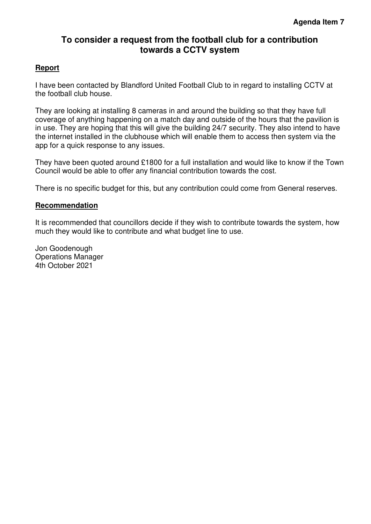### <span id="page-9-0"></span>**To consider a request from the football club for a contribution towards a CCTV system**

#### **Report**

I have been contacted by Blandford United Football Club to in regard to installing CCTV at the football club house.

They are looking at installing 8 cameras in and around the building so that they have full coverage of anything happening on a match day and outside of the hours that the pavilion is in use. They are hoping that this will give the building 24/7 security. They also intend to have the internet installed in the clubhouse which will enable them to access then system via the app for a quick response to any issues.

They have been quoted around £1800 for a full installation and would like to know if the Town Council would be able to offer any financial contribution towards the cost.

There is no specific budget for this, but any contribution could come from General reserves.

#### **Recommendation**

It is recommended that councillors decide if they wish to contribute towards the system, how much they would like to contribute and what budget line to use.

Jon Goodenough Operations Manager 4th October 2021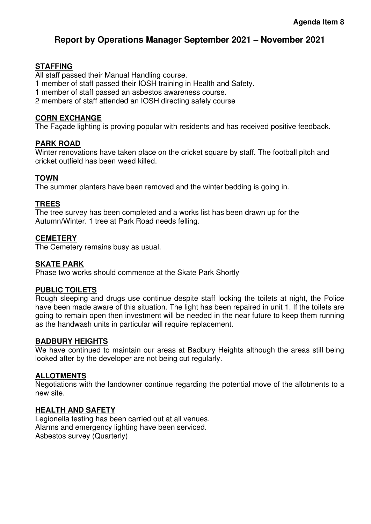#### **Report by Operations Manager September 2021 – November 2021**

#### **STAFFING**

All staff passed their Manual Handling course.

1 member of staff passed their IOSH training in Health and Safety.

1 member of staff passed an asbestos awareness course.

2 members of staff attended an IOSH directing safely course

#### **CORN EXCHANGE**

The Façade lighting is proving popular with residents and has received positive feedback.

#### **PARK ROAD**

Winter renovations have taken place on the cricket square by staff. The football pitch and cricket outfield has been weed killed.

#### **TOWN**

The summer planters have been removed and the winter bedding is going in.

#### **TREES**

The tree survey has been completed and a works list has been drawn up for the Autumn/Winter. 1 tree at Park Road needs felling.

#### **CEMETERY**

The Cemetery remains busy as usual.

#### **SKATE PARK**

Phase two works should commence at the Skate Park Shortly

#### **PUBLIC TOILETS**

Rough sleeping and drugs use continue despite staff locking the toilets at night, the Police have been made aware of this situation. The light has been repaired in unit 1. If the toilets are going to remain open then investment will be needed in the near future to keep them running as the handwash units in particular will require replacement.

#### **BADBURY HEIGHTS**

We have continued to maintain our areas at Badbury Heights although the areas still being looked after by the developer are not being cut regularly.

#### **ALLOTMENTS**

Negotiations with the landowner continue regarding the potential move of the allotments to a new site.

#### **HEALTH AND SAFETY**

Legionella testing has been carried out at all venues. Alarms and emergency lighting have been serviced. Asbestos survey (Quarterly)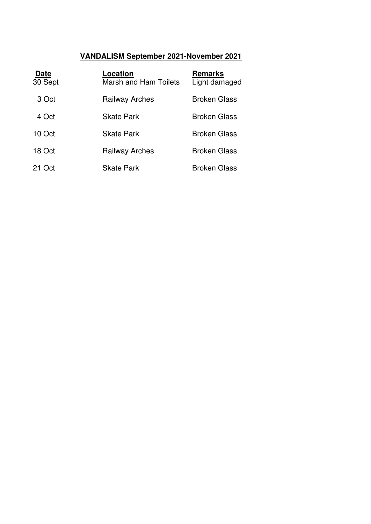### **VANDALISM September 2021-November 2021**

| <b>Date</b><br>30 Sept | Location<br><b>Marsh and Ham Toilets</b> | <b>Remarks</b><br>Light damaged |
|------------------------|------------------------------------------|---------------------------------|
| 3 Oct                  | <b>Railway Arches</b>                    | <b>Broken Glass</b>             |
| 4 Oct                  | <b>Skate Park</b>                        | <b>Broken Glass</b>             |
| 10 Oct                 | <b>Skate Park</b>                        | <b>Broken Glass</b>             |
| 18 Oct                 | <b>Railway Arches</b>                    | <b>Broken Glass</b>             |
| 21 Oct                 | <b>Skate Park</b>                        | <b>Broken Glass</b>             |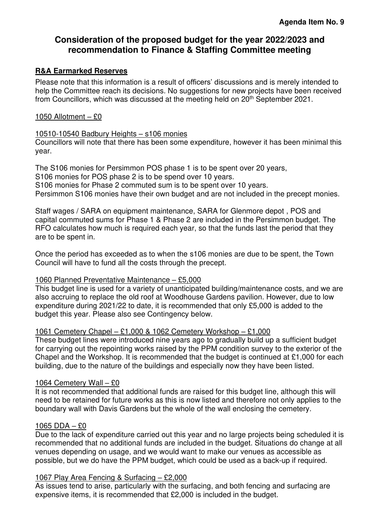#### <span id="page-12-0"></span>**Consideration of the proposed budget for the year 2022/2023 and recommendation to Finance & Staffing Committee meeting**

#### **R&A Earmarked Reserves**

Please note that this information is a result of officers' discussions and is merely intended to help the Committee reach its decisions. No suggestions for new projects have been received from Councillors, which was discussed at the meeting held on 20th September 2021.

#### 1050 Allotment – £0

#### 10510-10540 Badbury Heights – s106 monies

Councillors will note that there has been some expenditure, however it has been minimal this year.

The S106 monies for Persimmon POS phase 1 is to be spent over 20 years, S106 monies for POS phase 2 is to be spend over 10 years. S106 monies for Phase 2 commuted sum is to be spent over 10 years. Persimmon S106 monies have their own budget and are not included in the precept monies.

Staff wages / SARA on equipment maintenance, SARA for Glenmore depot , POS and capital commuted sums for Phase 1 & Phase 2 are included in the Persimmon budget. The RFO calculates how much is required each year, so that the funds last the period that they are to be spent in.

Once the period has exceeded as to when the s106 monies are due to be spent, the Town Council will have to fund all the costs through the precept.

#### 1060 Planned Preventative Maintenance – £5,000

This budget line is used for a variety of unanticipated building/maintenance costs, and we are also accruing to replace the old roof at Woodhouse Gardens pavilion. However, due to low expenditure during 2021/22 to date, it is recommended that only £5,000 is added to the budget this year. Please also see Contingency below.

#### 1061 Cemetery Chapel – £1,000 & 1062 Cemetery Workshop – £1,000

These budget lines were introduced nine years ago to gradually build up a sufficient budget for carrying out the repointing works raised by the PPM condition survey to the exterior of the Chapel and the Workshop. It is recommended that the budget is continued at £1,000 for each building, due to the nature of the buildings and especially now they have been listed.

#### 1064 Cemetery Wall – £0

It is not recommended that additional funds are raised for this budget line, although this will need to be retained for future works as this is now listed and therefore not only applies to the boundary wall with Davis Gardens but the whole of the wall enclosing the cemetery.

#### 1065 DDA – £0

Due to the lack of expenditure carried out this year and no large projects being scheduled it is recommended that no additional funds are included in the budget. Situations do change at all venues depending on usage, and we would want to make our venues as accessible as possible, but we do have the PPM budget, which could be used as a back-up if required.

#### 1067 Play Area Fencing & Surfacing – £2,000

As issues tend to arise, particularly with the surfacing, and both fencing and surfacing are expensive items, it is recommended that £2,000 is included in the budget.